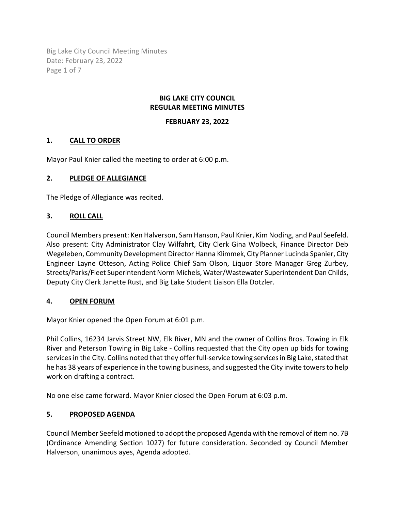Big Lake City Council Meeting Minutes Date: February 23, 2022 Page 1 of 7

#### **BIG LAKE CITY COUNCIL REGULAR MEETING MINUTES**

#### **FEBRUARY 23, 2022**

### **1. CALL TO ORDER**

Mayor Paul Knier called the meeting to order at 6:00 p.m.

#### **2. PLEDGE OF ALLEGIANCE**

The Pledge of Allegiance was recited.

### **3. ROLL CALL**

Council Members present: Ken Halverson, Sam Hanson, Paul Knier, Kim Noding, and Paul Seefeld. Also present: City Administrator Clay Wilfahrt, City Clerk Gina Wolbeck, Finance Director Deb Wegeleben, Community Development Director Hanna Klimmek, City Planner Lucinda Spanier, City Engineer Layne Otteson, Acting Police Chief Sam Olson, Liquor Store Manager Greg Zurbey, Streets/Parks/Fleet Superintendent Norm Michels, Water/Wastewater Superintendent Dan Childs, Deputy City Clerk Janette Rust, and Big Lake Student Liaison Ella Dotzler.

#### **4. OPEN FORUM**

Mayor Knier opened the Open Forum at 6:01 p.m.

Phil Collins, 16234 Jarvis Street NW, Elk River, MN and the owner of Collins Bros. Towing in Elk River and Peterson Towing in Big Lake - Collins requested that the City open up bids for towing services in the City. Collins noted that they offer full-service towing services in Big Lake, stated that he has 38 years of experience in the towing business, and suggested the City invite towers to help work on drafting a contract.

No one else came forward. Mayor Knier closed the Open Forum at 6:03 p.m.

### **5. PROPOSED AGENDA**

Council Member Seefeld motioned to adopt the proposed Agenda with the removal of item no. 7B (Ordinance Amending Section 1027) for future consideration. Seconded by Council Member Halverson, unanimous ayes, Agenda adopted.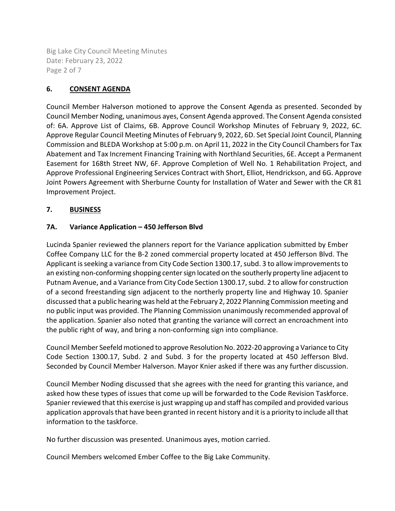Big Lake City Council Meeting Minutes Date: February 23, 2022 Page 2 of 7

# **6. CONSENT AGENDA**

Council Member Halverson motioned to approve the Consent Agenda as presented. Seconded by Council Member Noding, unanimous ayes, Consent Agenda approved. The Consent Agenda consisted of: 6A. Approve List of Claims, 6B. Approve Council Workshop Minutes of February 9, 2022, 6C. Approve Regular Council Meeting Minutes of February 9, 2022, 6D. Set Special Joint Council, Planning Commission and BLEDA Workshop at 5:00 p.m. on April 11, 2022 in the City Council Chambers for Tax Abatement and Tax Increment Financing Training with Northland Securities, 6E. Accept a Permanent Easement for 168th Street NW, 6F. Approve Completion of Well No. 1 Rehabilitation Project, and Approve Professional Engineering Services Contract with Short, Elliot, Hendrickson, and 6G. Approve Joint Powers Agreement with Sherburne County for Installation of Water and Sewer with the CR 81 Improvement Project.

### **7. BUSINESS**

# **7A. Variance Application – 450 Jefferson Blvd**

Lucinda Spanier reviewed the planners report for the Variance application submitted by Ember Coffee Company LLC for the B-2 zoned commercial property located at 450 Jefferson Blvd. The Applicant is seeking a variance from City Code Section 1300.17, subd. 3 to allow improvements to an existing non-conforming shopping center sign located on the southerly property line adjacent to Putnam Avenue, and a Variance from City Code Section 1300.17, subd. 2 to allow for construction of a second freestanding sign adjacent to the northerly property line and Highway 10. Spanier discussed that a public hearing was held at the February 2, 2022 Planning Commission meeting and no public input was provided. The Planning Commission unanimously recommended approval of the application. Spanier also noted that granting the variance will correct an encroachment into the public right of way, and bring a non-conforming sign into compliance.

Council Member Seefeld motioned to approve Resolution No. 2022-20 approving a Variance to City Code Section 1300.17, Subd. 2 and Subd. 3 for the property located at 450 Jefferson Blvd. Seconded by Council Member Halverson. Mayor Knier asked if there was any further discussion.

Council Member Noding discussed that she agrees with the need for granting this variance, and asked how these types of issues that come up will be forwarded to the Code Revision Taskforce. Spanier reviewed that this exercise is just wrapping up and staff has compiled and provided various application approvals that have been granted in recent history and it is a priority to include all that information to the taskforce.

No further discussion was presented. Unanimous ayes, motion carried.

Council Members welcomed Ember Coffee to the Big Lake Community.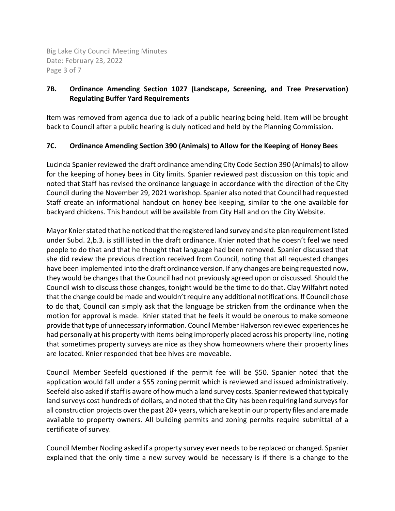Big Lake City Council Meeting Minutes Date: February 23, 2022 Page 3 of 7

# **7B. Ordinance Amending Section 1027 (Landscape, Screening, and Tree Preservation) Regulating Buffer Yard Requirements**

Item was removed from agenda due to lack of a public hearing being held. Item will be brought back to Council after a public hearing is duly noticed and held by the Planning Commission.

# **7C. Ordinance Amending Section 390 (Animals) to Allow for the Keeping of Honey Bees**

Lucinda Spanier reviewed the draft ordinance amending City Code Section 390 (Animals) to allow for the keeping of honey bees in City limits. Spanier reviewed past discussion on this topic and noted that Staff has revised the ordinance language in accordance with the direction of the City Council during the November 29, 2021 workshop. Spanier also noted that Council had requested Staff create an informational handout on honey bee keeping, similar to the one available for backyard chickens. This handout will be available from City Hall and on the City Website.

Mayor Knier stated that he noticed that the registered land survey and site plan requirement listed under Subd. 2,b.3. is still listed in the draft ordinance. Knier noted that he doesn't feel we need people to do that and that he thought that language had been removed. Spanier discussed that she did review the previous direction received from Council, noting that all requested changes have been implemented into the draft ordinance version. If any changes are being requested now, they would be changes that the Council had not previously agreed upon or discussed. Should the Council wish to discuss those changes, tonight would be the time to do that. Clay Wilfahrt noted that the change could be made and wouldn't require any additional notifications. If Council chose to do that, Council can simply ask that the language be stricken from the ordinance when the motion for approval is made. Knier stated that he feels it would be onerous to make someone provide that type of unnecessary information. Council Member Halverson reviewed experiences he had personally at his property with items being improperly placed across his property line, noting that sometimes property surveys are nice as they show homeowners where their property lines are located. Knier responded that bee hives are moveable.

Council Member Seefeld questioned if the permit fee will be \$50. Spanier noted that the application would fall under a \$55 zoning permit which is reviewed and issued administratively. Seefeld also asked if staff is aware of how much a land survey costs. Spanier reviewed that typically land surveys cost hundreds of dollars, and noted that the City has been requiring land surveys for all construction projects over the past 20+ years, which are kept in our property files and are made available to property owners. All building permits and zoning permits require submittal of a certificate of survey.

Council Member Noding asked if a property survey ever needs to be replaced or changed. Spanier explained that the only time a new survey would be necessary is if there is a change to the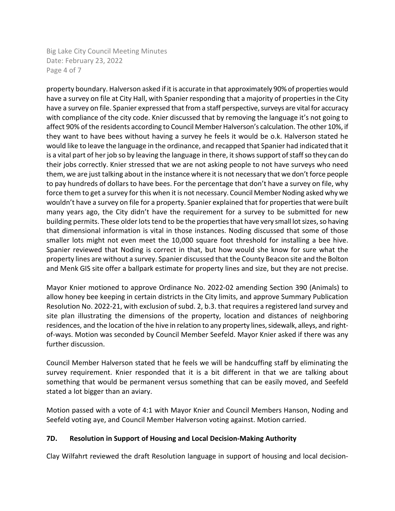Big Lake City Council Meeting Minutes Date: February 23, 2022 Page 4 of 7

property boundary. Halverson asked if it is accurate in that approximately 90% of properties would have a survey on file at City Hall, with Spanier responding that a majority of properties in the City have a survey on file. Spanier expressed that from a staff perspective, surveys are vital for accuracy with compliance of the city code. Knier discussed that by removing the language it's not going to affect 90% of the residents according to Council Member Halverson's calculation. The other 10%, if they want to have bees without having a survey he feels it would be o.k. Halverson stated he would like to leave the language in the ordinance, and recapped that Spanier had indicated that it is a vital part of her job so by leaving the language in there, it shows support of staff so they can do their jobs correctly. Knier stressed that we are not asking people to not have surveys who need them, we are just talking about in the instance where it is not necessary that we don't force people to pay hundreds of dollars to have bees. For the percentage that don't have a survey on file, why force them to get a survey for this when it is not necessary. Council Member Noding asked why we wouldn't have a survey on file for a property. Spanier explained that for properties that were built many years ago, the City didn't have the requirement for a survey to be submitted for new building permits. These older lots tend to be the properties that have very small lot sizes, so having that dimensional information is vital in those instances. Noding discussed that some of those smaller lots might not even meet the 10,000 square foot threshold for installing a bee hive. Spanier reviewed that Noding is correct in that, but how would she know for sure what the property lines are without a survey. Spanier discussed that the County Beacon site and the Bolton and Menk GIS site offer a ballpark estimate for property lines and size, but they are not precise.

Mayor Knier motioned to approve Ordinance No. 2022-02 amending Section 390 (Animals) to allow honey bee keeping in certain districts in the City limits, and approve Summary Publication Resolution No. 2022-21, with exclusion of subd. 2, b.3. that requires a registered land survey and site plan illustrating the dimensions of the property, location and distances of neighboring residences, and the location of the hive in relation to any property lines, sidewalk, alleys, and rightof-ways. Motion was seconded by Council Member Seefeld. Mayor Knier asked if there was any further discussion.

Council Member Halverson stated that he feels we will be handcuffing staff by eliminating the survey requirement. Knier responded that it is a bit different in that we are talking about something that would be permanent versus something that can be easily moved, and Seefeld stated a lot bigger than an aviary.

Motion passed with a vote of 4:1 with Mayor Knier and Council Members Hanson, Noding and Seefeld voting aye, and Council Member Halverson voting against. Motion carried.

### **7D. Resolution in Support of Housing and Local Decision-Making Authority**

Clay Wilfahrt reviewed the draft Resolution language in support of housing and local decision-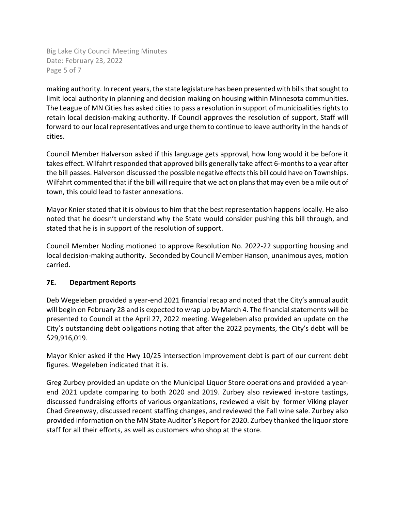Big Lake City Council Meeting Minutes Date: February 23, 2022 Page 5 of 7

making authority. In recent years, the state legislature has been presented with bills that sought to limit local authority in planning and decision making on housing within Minnesota communities. The League of MN Cities has asked cities to pass a resolution in support of municipalities rights to retain local decision-making authority. If Council approves the resolution of support, Staff will forward to our local representatives and urge them to continue to leave authority in the hands of cities.

Council Member Halverson asked if this language gets approval, how long would it be before it takes effect. Wilfahrt responded that approved bills generally take affect 6-months to a year after the bill passes. Halverson discussed the possible negative effectsthis bill could have on Townships. Wilfahrt commented that if the bill will require that we act on plans that may even be a mile out of town, this could lead to faster annexations.

Mayor Knier stated that it is obvious to him that the best representation happens locally. He also noted that he doesn't understand why the State would consider pushing this bill through, and stated that he is in support of the resolution of support.

Council Member Noding motioned to approve Resolution No. 2022-22 supporting housing and local decision-making authority. Seconded by Council Member Hanson, unanimous ayes, motion carried.

### **7E. Department Reports**

Deb Wegeleben provided a year-end 2021 financial recap and noted that the City's annual audit will begin on February 28 and is expected to wrap up by March 4. The financial statements will be presented to Council at the April 27, 2022 meeting. Wegeleben also provided an update on the City's outstanding debt obligations noting that after the 2022 payments, the City's debt will be \$29,916,019.

Mayor Knier asked if the Hwy 10/25 intersection improvement debt is part of our current debt figures. Wegeleben indicated that it is.

Greg Zurbey provided an update on the Municipal Liquor Store operations and provided a yearend 2021 update comparing to both 2020 and 2019. Zurbey also reviewed in-store tastings, discussed fundraising efforts of various organizations, reviewed a visit by former Viking player Chad Greenway, discussed recent staffing changes, and reviewed the Fall wine sale. Zurbey also provided information on the MN State Auditor's Report for 2020. Zurbey thanked the liquor store staff for all their efforts, as well as customers who shop at the store.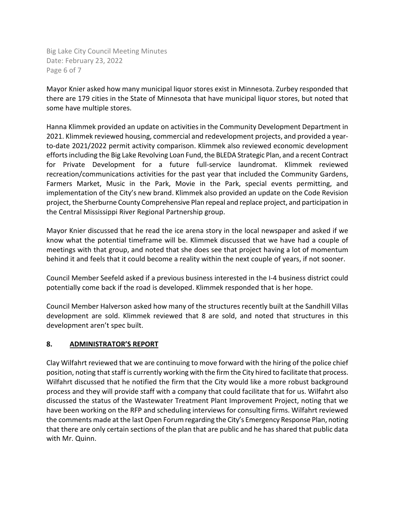Big Lake City Council Meeting Minutes Date: February 23, 2022 Page 6 of 7

Mayor Knier asked how many municipal liquor stores exist in Minnesota. Zurbey responded that there are 179 cities in the State of Minnesota that have municipal liquor stores, but noted that some have multiple stores.

Hanna Klimmek provided an update on activities in the Community Development Department in 2021. Klimmek reviewed housing, commercial and redevelopment projects, and provided a yearto-date 2021/2022 permit activity comparison. Klimmek also reviewed economic development efforts including the Big Lake Revolving Loan Fund, the BLEDA Strategic Plan, and a recent Contract for Private Development for a future full-service laundromat. Klimmek reviewed recreation/communications activities for the past year that included the Community Gardens, Farmers Market, Music in the Park, Movie in the Park, special events permitting, and implementation of the City's new brand. Klimmek also provided an update on the Code Revision project, the Sherburne County Comprehensive Plan repeal and replace project, and participation in the Central Mississippi River Regional Partnership group.

Mayor Knier discussed that he read the ice arena story in the local newspaper and asked if we know what the potential timeframe will be. Klimmek discussed that we have had a couple of meetings with that group, and noted that she does see that project having a lot of momentum behind it and feels that it could become a reality within the next couple of years, if not sooner.

Council Member Seefeld asked if a previous business interested in the I-4 business district could potentially come back if the road is developed. Klimmek responded that is her hope.

Council Member Halverson asked how many of the structures recently built at the Sandhill Villas development are sold. Klimmek reviewed that 8 are sold, and noted that structures in this development aren't spec built.

### **8. ADMINISTRATOR'S REPORT**

Clay Wilfahrt reviewed that we are continuing to move forward with the hiring of the police chief position, noting that staff is currently working with the firm the City hired to facilitate that process. Wilfahrt discussed that he notified the firm that the City would like a more robust background process and they will provide staff with a company that could facilitate that for us. Wilfahrt also discussed the status of the Wastewater Treatment Plant Improvement Project, noting that we have been working on the RFP and scheduling interviews for consulting firms. Wilfahrt reviewed the comments made at the last Open Forum regarding the City's Emergency Response Plan, noting that there are only certain sections of the plan that are public and he has shared that public data with Mr. Quinn.